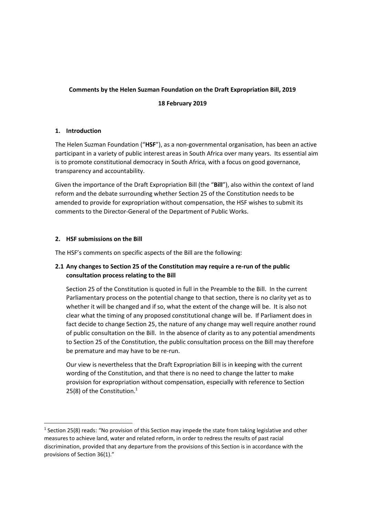# **Comments by the Helen Suzman Foundation on the Draft Expropriation Bill, 2019**

## **18 February 2019**

## **1. Introduction**

The Helen Suzman Foundation ("**HSF**"), as a non-governmental organisation, has been an active participant in a variety of public interest areas in South Africa over many years. Its essential aim is to promote constitutional democracy in South Africa, with a focus on good governance, transparency and accountability.

Given the importance of the Draft Expropriation Bill (the "**Bill**"), also within the context of land reform and the debate surrounding whether Section 25 of the Constitution needs to be amended to provide for expropriation without compensation, the HSF wishes to submit its comments to the Director-General of the Department of Public Works.

## **2. HSF submissions on the Bill**

**.** 

The HSF's comments on specific aspects of the Bill are the following:

# **2.1 Any changes to Section 25 of the Constitution may require a re-run of the public consultation process relating to the Bill**

Section 25 of the Constitution is quoted in full in the Preamble to the Bill. In the current Parliamentary process on the potential change to that section, there is no clarity yet as to whether it will be changed and if so, what the extent of the change will be. It is also not clear what the timing of any proposed constitutional change will be. If Parliament does in fact decide to change Section 25, the nature of any change may well require another round of public consultation on the Bill. In the absence of clarity as to any potential amendments to Section 25 of the Constitution, the public consultation process on the Bill may therefore be premature and may have to be re-run.

Our view is nevertheless that the Draft Expropriation Bill is in keeping with the current wording of the Constitution, and that there is no need to change the latter to make provision for expropriation without compensation, especially with reference to Section 25(8) of the Constitution. $1$ 

<sup>&</sup>lt;sup>1</sup> Section 25(8) reads: "No provision of this Section may impede the state from taking legislative and other measures to achieve land, water and related reform, in order to redress the results of past racial discrimination, provided that any departure from the provisions of this Section is in accordance with the provisions of Section 36(1)."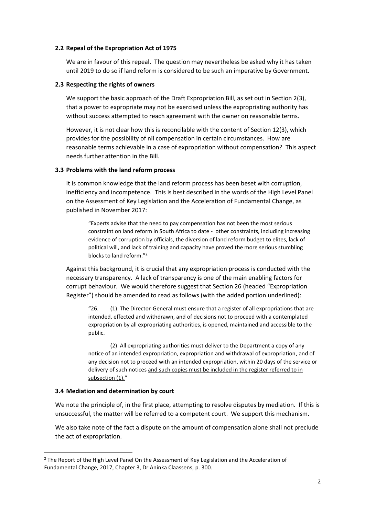#### **2.2 Repeal of the Expropriation Act of 1975**

We are in favour of this repeal. The question may nevertheless be asked why it has taken until 2019 to do so if land reform is considered to be such an imperative by Government.

#### **2.3 Respecting the rights of owners**

We support the basic approach of the Draft Expropriation Bill, as set out in Section 2(3), that a power to expropriate may not be exercised unless the expropriating authority has without success attempted to reach agreement with the owner on reasonable terms.

However, it is not clear how this is reconcilable with the content of Section 12(3), which provides for the possibility of nil compensation in certain circumstances. How are reasonable terms achievable in a case of expropriation without compensation? This aspect needs further attention in the Bill.

#### **3.3 Problems with the land reform process**

It is common knowledge that the land reform process has been beset with corruption, inefficiency and incompetence. This is best described in the words of the High Level Panel on the Assessment of Key Legislation and the Acceleration of Fundamental Change, as published in November 2017:

"Experts advise that the need to pay compensation has not been the most serious constraint on land reform in South Africa to date - other constraints, including increasing evidence of corruption by officials, the diversion of land reform budget to elites, lack of political will, and lack of training and capacity have proved the more serious stumbling blocks to land reform." 2

Against this background, it is crucial that any expropriation process is conducted with the necessary transparency. A lack of transparency is one of the main enabling factors for corrupt behaviour. We would therefore suggest that Section 26 (headed "Expropriation Register") should be amended to read as follows (with the added portion underlined):

"26. (1) The Director-General must ensure that a register of all expropriations that are intended, effected and withdrawn, and of decisions not to proceed with a contemplated expropriation by all expropriating authorities, is opened, maintained and accessible to the public.

(2) All expropriating authorities must deliver to the Department a copy of any notice of an intended expropriation, expropriation and withdrawal of expropriation, and of any decision not to proceed with an intended expropriation, within 20 days of the service or delivery of such notices and such copies must be included in the register referred to in subsection (1)."

#### **3.4 Mediation and determination by court**

1

We note the principle of, in the first place, attempting to resolve disputes by mediation. If this is unsuccessful, the matter will be referred to a competent court. We support this mechanism.

We also take note of the fact a dispute on the amount of compensation alone shall not preclude the act of expropriation.

<sup>&</sup>lt;sup>2</sup> The Report of the High Level Panel On the Assessment of Key Legislation and the Acceleration of Fundamental Change, 2017, Chapter 3, Dr Aninka Claassens, p. 300.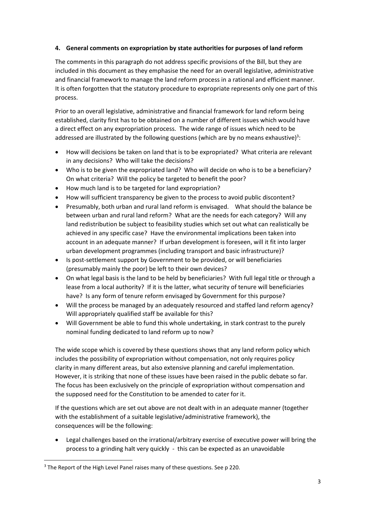# **4. General comments on expropriation by state authorities for purposes of land reform**

The comments in this paragraph do not address specific provisions of the Bill, but they are included in this document as they emphasise the need for an overall legislative, administrative and financial framework to manage the land reform process in a rational and efficient manner. It is often forgotten that the statutory procedure to expropriate represents only one part of this process.

Prior to an overall legislative, administrative and financial framework for land reform being established, clarity first has to be obtained on a number of different issues which would have a direct effect on any expropriation process. The wide range of issues which need to be addressed are illustrated by the following questions (which are by no means exhaustive)<sup>3</sup>:

- How will decisions be taken on land that is to be expropriated? What criteria are relevant in any decisions? Who will take the decisions?
- Who is to be given the expropriated land? Who will decide on who is to be a beneficiary? On what criteria? Will the policy be targeted to benefit the poor?
- How much land is to be targeted for land expropriation?
- How will sufficient transparency be given to the process to avoid public discontent?
- Presumably, both urban and rural land reform is envisaged. What should the balance be between urban and rural land reform? What are the needs for each category? Will any land redistribution be subject to feasibility studies which set out what can realistically be achieved in any specific case? Have the environmental implications been taken into account in an adequate manner? If urban development is foreseen, will it fit into larger urban development programmes (including transport and basic infrastructure)?
- Is post-settlement support by Government to be provided, or will beneficiaries (presumably mainly the poor) be left to their own devices?
- On what legal basis is the land to be held by beneficiaries? With full legal title or through a lease from a local authority? If it is the latter, what security of tenure will beneficiaries have? Is any form of tenure reform envisaged by Government for this purpose?
- Will the process be managed by an adequately resourced and staffed land reform agency? Will appropriately qualified staff be available for this?
- Will Government be able to fund this whole undertaking, in stark contrast to the purely nominal funding dedicated to land reform up to now?

The wide scope which is covered by these questions shows that any land reform policy which includes the possibility of expropriation without compensation, not only requires policy clarity in many different areas, but also extensive planning and careful implementation. However, it is striking that none of these issues have been raised in the public debate so far. The focus has been exclusively on the principle of expropriation without compensation and the supposed need for the Constitution to be amended to cater for it.

If the questions which are set out above are not dealt with in an adequate manner (together with the establishment of a suitable legislative/administrative framework), the consequences will be the following:

• Legal challenges based on the irrational/arbitrary exercise of executive power will bring the process to a grinding halt very quickly - this can be expected as an unavoidable

**.** 

<sup>&</sup>lt;sup>3</sup> The Report of the High Level Panel raises many of these questions. See p 220.